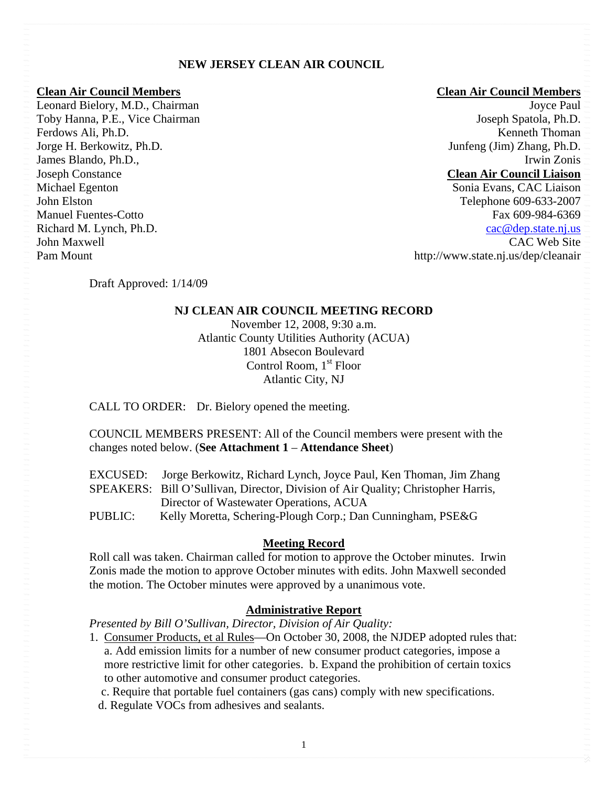### **NEW JERSEY CLEAN AIR COUNCIL**

Leonard Bielory, M.D., Chairman Joyce Paul Toby Hanna, P.E., Vice Chairman Joseph Spatola, Ph.D. Ferdows Ali, Ph.D. **Kenneth Thoman** Jorge H. Berkowitz, Ph.D. Junfeng (Jim) Zhang, Ph.D. James Blando, Ph.D., Irwin Zonis Joseph Constance **Clean Air Council Liaison** Michael Egenton Sonia Evans, CAC Liaison Pam Mount http://www.state.nj.us/dep/cleanair

#### **Clean Air Council Members Clean Air Council Members**

John Elston Telephone 609-633-2007 Manuel Fuentes-Cotto Fax 609-984-6369 Richard M. Lynch, Ph.D. Cac @dep.state.nj.us John Maxwell CAC Web Site

Draft Approved: 1/14/09

### **NJ CLEAN AIR COUNCIL MEETING RECORD**

November 12, 2008, 9:30 a.m. Atlantic County Utilities Authority (ACUA) 1801 Absecon Boulevard Control Room,  $1<sup>st</sup>$  Floor Atlantic City, NJ

CALL TO ORDER: Dr. Bielory opened the meeting.

### COUNCIL MEMBERS PRESENT: All of the Council members were present with the changes noted below. (**See Attachment 1** – **Attendance Sheet**)

|                | EXCUSED: Jorge Berkowitz, Richard Lynch, Joyce Paul, Ken Thoman, Jim Zhang        |
|----------------|-----------------------------------------------------------------------------------|
|                | SPEAKERS: Bill O'Sullivan, Director, Division of Air Quality; Christopher Harris, |
|                | Director of Wastewater Operations, ACUA                                           |
| <b>PUBLIC:</b> | Kelly Moretta, Schering-Plough Corp.; Dan Cunningham, PSE&G                       |

### **Meeting Record**

Roll call was taken. Chairman called for motion to approve the October minutes. Irwin Zonis made the motion to approve October minutes with edits. John Maxwell seconded the motion. The October minutes were approved by a unanimous vote.

### **Administrative Report**

*Presented by Bill O'Sullivan, Director, Division of Air Quality:* 

1. Consumer Products, et al Rules—On October 30, 2008, the NJDEP adopted rules that: a. Add emission limits for a number of new consumer product categories, impose a more restrictive limit for other categories. b. Expand the prohibition of certain toxics to other automotive and consumer product categories.

c. Require that portable fuel containers (gas cans) comply with new specifications.

d. Regulate VOCs from adhesives and sealants.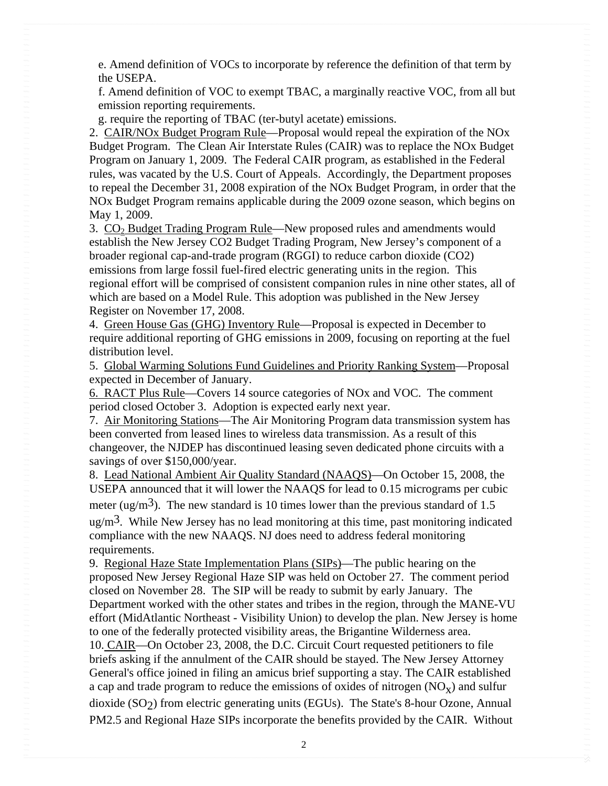e. Amend definition of VOCs to incorporate by reference the definition of that term by the USEPA.

f. Amend definition of VOC to exempt TBAC, a marginally reactive VOC, from all but emission reporting requirements.

g. require the reporting of TBAC (ter-butyl acetate) emissions.

2. CAIR/NOx Budget Program Rule—Proposal would repeal the expiration of the NOx Budget Program. The Clean Air Interstate Rules (CAIR) was to replace the NOx Budget Program on January 1, 2009. The Federal CAIR program, as established in the Federal rules, was vacated by the U.S. Court of Appeals. Accordingly, the Department proposes to repeal the December 31, 2008 expiration of the NOx Budget Program, in order that the NOx Budget Program remains applicable during the 2009 ozone season, which begins on May 1, 2009.

3. CO<sub>2</sub> Budget Trading Program Rule—New proposed rules and amendments would establish the New Jersey CO2 Budget Trading Program, New Jersey's component of a broader regional cap-and-trade program (RGGI) to reduce carbon dioxide (CO2) emissions from large fossil fuel-fired electric generating units in the region. This regional effort will be comprised of consistent companion rules in nine other states, all of which are based on a Model Rule. This adoption was published in the New Jersey Register on November 17, 2008.

4. Green House Gas (GHG) Inventory Rule—Proposal is expected in December to require additional reporting of GHG emissions in 2009, focusing on reporting at the fuel distribution level.

5. Global Warming Solutions Fund Guidelines and Priority Ranking System—Proposal expected in December of January.

6. RACT Plus Rule—Covers 14 source categories of NOx and VOC. The comment period closed October 3. Adoption is expected early next year.

7. Air Monitoring Stations—The Air Monitoring Program data transmission system has been converted from leased lines to wireless data transmission. As a result of this changeover, the NJDEP has discontinued leasing seven dedicated phone circuits with a savings of over \$150,000/year.

8. Lead National Ambient Air Quality Standard (NAAQS)—On October 15, 2008, the USEPA announced that it will lower the NAAQS for lead to 0.15 micrograms per cubic meter (ug/m<sup>3</sup>). The new standard is 10 times lower than the previous standard of 1.5 ug/m<sup>3</sup>. While New Jersey has no lead monitoring at this time, past monitoring indicated compliance with the new NAAQS. NJ does need to address federal monitoring requirements.

9. Regional Haze State Implementation Plans (SIPs)—The public hearing on the proposed New Jersey Regional Haze SIP was held on October 27. The comment period closed on November 28. The SIP will be ready to submit by early January. The Department worked with the other states and tribes in the region, through the MANE-VU effort (MidAtlantic Northeast - Visibility Union) to develop the plan. New Jersey is home to one of the federally protected visibility areas, the Brigantine Wilderness area.

10. CAIR—On October 23, 2008, the D.C. Circuit Court requested petitioners to file briefs asking if the annulment of the CAIR should be stayed. The New Jersey Attorney General's office joined in filing an amicus brief supporting a stay. The CAIR established a cap and trade program to reduce the emissions of oxides of nitrogen  $(NO_x)$  and sulfur dioxide  $(SO<sub>2</sub>)$  from electric generating units (EGUs). The State's 8-hour Ozone, Annual PM2.5 and Regional Haze SIPs incorporate the benefits provided by the CAIR. Without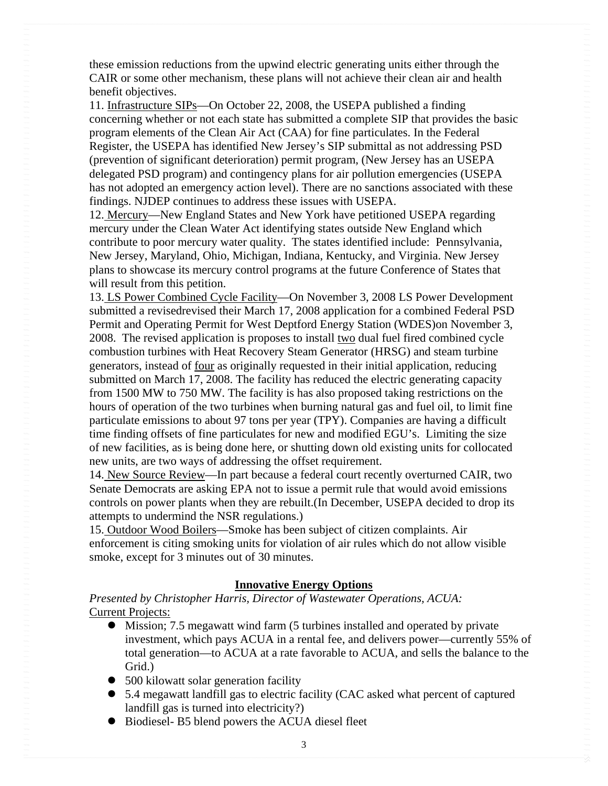these emission reductions from the upwind electric generating units either through the CAIR or some other mechanism, these plans will not achieve their clean air and health benefit objectives.

11. Infrastructure SIPs—On October 22, 2008, the USEPA published a finding concerning whether or not each state has submitted a complete SIP that provides the basic program elements of the Clean Air Act (CAA) for fine particulates. In the Federal Register, the USEPA has identified New Jersey's SIP submittal as not addressing PSD (prevention of significant deterioration) permit program, (New Jersey has an USEPA delegated PSD program) and contingency plans for air pollution emergencies (USEPA has not adopted an emergency action level). There are no sanctions associated with these findings. NJDEP continues to address these issues with USEPA.

12. Mercury—New England States and New York have petitioned USEPA regarding mercury under the Clean Water Act identifying states outside New England which contribute to poor mercury water quality. The states identified include: Pennsylvania, New Jersey, Maryland, Ohio, Michigan, Indiana, Kentucky, and Virginia. New Jersey plans to showcase its mercury control programs at the future Conference of States that will result from this petition.

13. LS Power Combined Cycle Facility—On November 3, 2008 LS Power Development submitted a revisedrevised their March 17, 2008 application for a combined Federal PSD Permit and Operating Permit for West Deptford Energy Station (WDES)on November 3, 2008. The revised application is proposes to install two dual fuel fired combined cycle combustion turbines with Heat Recovery Steam Generator (HRSG) and steam turbine generators, instead of four as originally requested in their initial application, reducing submitted on March 17, 2008. The facility has reduced the electric generating capacity from 1500 MW to 750 MW. The facility is has also proposed taking restrictions on the hours of operation of the two turbines when burning natural gas and fuel oil, to limit fine particulate emissions to about 97 tons per year (TPY). Companies are having a difficult time finding offsets of fine particulates for new and modified EGU's. Limiting the size of new facilities, as is being done here, or shutting down old existing units for collocated new units, are two ways of addressing the offset requirement.

14. New Source Review—In part because a federal court recently overturned CAIR, two Senate Democrats are asking EPA not to issue a permit rule that would avoid emissions controls on power plants when they are rebuilt.(In December, USEPA decided to drop its attempts to undermind the NSR regulations.)

15. Outdoor Wood Boilers—Smoke has been subject of citizen complaints. Air enforcement is citing smoking units for violation of air rules which do not allow visible smoke, except for 3 minutes out of 30 minutes.

### **Innovative Energy Options**

*Presented by Christopher Harris, Director of Wastewater Operations, ACUA:* Current Projects:

- Mission; 7.5 megawatt wind farm (5 turbines installed and operated by private investment, which pays ACUA in a rental fee, and delivers power—currently 55% of total generation—to ACUA at a rate favorable to ACUA, and sells the balance to the Grid.)
- $\bullet$  500 kilowatt solar generation facility
- 5.4 megawatt landfill gas to electric facility (CAC asked what percent of captured landfill gas is turned into electricity?)
- $\bullet$  Biodiesel- B5 blend powers the ACUA diesel fleet